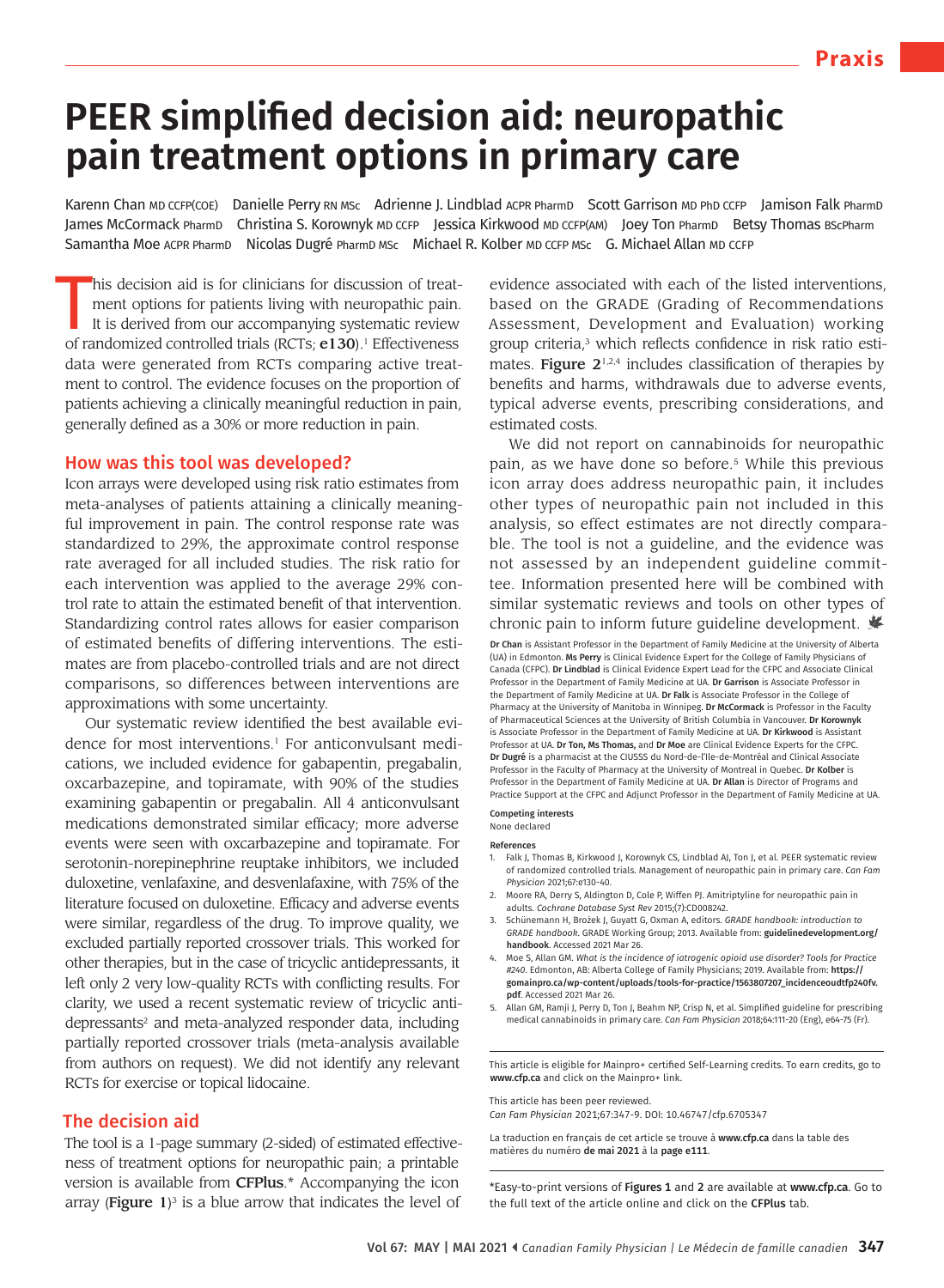# **PEER simplified decision aid: neuropathic pain treatment options in primary care**

Karenn Chan MD CCFP(COE) Danielle Perry RN MSc Adrienne J. Lindblad ACPR PharmD Scott Garrison MD PhD CCFP Jamison Falk PharmD James McCormack PharmD Christina S. Korownyk MD CCFP Jessica Kirkwood MD CCFP(AM) Joey Ton PharmD Betsy Thomas BscPharm Samantha Moe ACPR PharmD Nicolas Dugré PharmD MSc Michael R. Kolber MD CCFP MSc G. Michael Allan MD CCFP

his decision aid is for clinicians for discussion of treat-<br>ment options for patients living with neuropathic pain.<br>It is derived from our accompanying systematic review<br>of randomized controlled trials (RCTs; **e130**).<sup>1</sup> E his decision aid is for clinicians for discussion of treatment options for patients living with neuropathic pain. It is derived from our accompanying systematic review data were generated from RCTs comparing active treatment to control. The evidence focuses on the proportion of patients achieving a clinically meaningful reduction in pain, generally defined as a 30% or more reduction in pain.

#### How was this tool was developed?

Icon arrays were developed using risk ratio estimates from meta-analyses of patients attaining a clinically meaningful improvement in pain. The control response rate was standardized to 29%, the approximate control response rate averaged for all included studies. The risk ratio for each intervention was applied to the average 29% control rate to attain the estimated benefit of that intervention. Standardizing control rates allows for easier comparison of estimated benefits of differing interventions. The estimates are from placebo-controlled trials and are not direct comparisons, so differences between interventions are approximations with some uncertainty.

Our systematic review identified the best available evidence for most interventions.<sup>1</sup> For anticonvulsant medications, we included evidence for gabapentin, pregabalin, oxcarbazepine, and topiramate, with 90% of the studies examining gabapentin or pregabalin. All 4 anticonvulsant medications demonstrated similar efficacy; more adverse events were seen with oxcarbazepine and topiramate. For serotonin-norepinephrine reuptake inhibitors, we included duloxetine, venlafaxine, and desvenlafaxine, with 75% of the literature focused on duloxetine. Efficacy and adverse events were similar, regardless of the drug. To improve quality, we excluded partially reported crossover trials. This worked for other therapies, but in the case of tricyclic antidepressants, it left only 2 very low-quality RCTs with conflicting results. For clarity, we used a recent systematic review of tricyclic antidepressants<sup>2</sup> and meta-analyzed responder data, including partially reported crossover trials (meta-analysis available from authors on request). We did not identify any relevant RCTs for exercise or topical lidocaine.

#### The decision aid

The tool is a 1-page summary (2-sided) of estimated effectiveness of treatment options for neuropathic pain; a printable version is available from CFPlus.\* Accompanying the icon array (**Figure** 1)<sup>3</sup> is a blue arrow that indicates the level of

evidence associated with each of the listed interventions, based on the GRADE (Grading of Recommendations Assessment, Development and Evaluation) working group criteria,<sup>3</sup> which reflects confidence in risk ratio estimates. Figure  $2^{1,2,4}$  includes classification of therapies by benefits and harms, withdrawals due to adverse events, typical adverse events, prescribing considerations, and estimated costs.

We did not report on cannabinoids for neuropathic pain, as we have done so before.<sup>5</sup> While this previous icon array does address neuropathic pain, it includes other types of neuropathic pain not included in this analysis, so effect estimates are not directly comparable. The tool is not a guideline, and the evidence was not assessed by an independent guideline committee. Information presented here will be combined with similar systematic reviews and tools on other types of chronic pain to inform future guideline development. Dr Chan is Assistant Professor in the Department of Family Medicine at the University of Alberta (UA) in Edmonton. Ms Perry is Clinical Evidence Expert for the College of Family Physicians of Canada (CFPC). Dr Lindblad is Clinical Evidence Expert Lead for the CFPC and Associate Clinical Professor in the Department of Family Medicine at UA. Dr Garrison is Associate Professor in the Department of Family Medicine at UA. Dr Falk is Associate Professor in the College of Pharmacy at the University of Manitoba in Winnipeg. Dr McCormack is Professor in the Faculty of Pharmaceutical Sciences at the University of British Columbia in Vancouver. Dr Korownyk is Associate Professor in the Department of Family Medicine at UA. Dr Kirkwood is Assistant Professor at UA. Dr Ton, Ms Thomas, and Dr Moe are Clinical Evidence Experts for the CFPC. Dr Dugré is a pharmacist at the CIUSSS du Nord-de-l'Ile-de-Montréal and Clinical Associate Professor in the Faculty of Pharmacy at the University of Montreal in Quebec. Dr Kolber is Professor in the Department of Family Medicine at UA. Dr Allan is Director of Programs and Practice Support at the CFPC and Adjunct Professor in the Department of Family Medicine at UA.

Competing interests

#### None declared

#### References

- 1. Falk J, Thomas B, Kirkwood J, Korownyk CS, Lindblad AJ, Ton J, et al. PEER systematic review of randomized controlled trials. Management of neuropathic pain in primary care. *Can Fam Physician* 2021;67:e130-40.
- 2. Moore RA, Derry S, Aldington D, Cole P, Wiffen PJ. Amitriptyline for neuropathic pain in adults. *Cochrane Database Syst Rev* 2015;(7):CD008242.
- 3. Schünemann H, Brożek J, Guyatt G, Oxman A, editors. *GRADE handbook: introduction to GRADE handbook*. GRADE Working Group; 2013. Available from: guidelinedevelopment.org/ handbook. Accessed 2021 Mar 26.
- 4. Moe S, Allan GM. *What is the incidence of iatrogenic opioid use disorder? Tools for Practice #240*. Edmonton, AB: Alberta College of Family Physicians; 2019. Available from: https:// gomainpro.ca/wp-content/uploads/tools-for-practice/1563807207\_incidenceoudtfp240fv. pdf. Accessed 2021 Mar 26.
- 5. Allan GM, Ramji J, Perry D, Ton J, Beahm NP, Crisp N, et al. Simplified guideline for prescribing medical cannabinoids in primary care. *Can Fam Physician* 2018;64:111-20 (Eng), e64-75 (Fr).

This article is eligible for Mainpro+ certified Self-Learning credits. To earn credits, go to www.cfp.ca and click on the Mainpro+ link.

This article has been peer reviewed. *Can Fam Physician* 2021;67:347-9. DOI: 10.46747/cfp.6705347

La traduction en français de cet article se trouve à www.cfp.ca dans la table des matières du numéro de mai 2021 à la page e111.

\*Easy-to-print versions of Figures 1 and 2 are available at www.cfp.ca. Go to the full text of the article online and click on the CFPlus tab.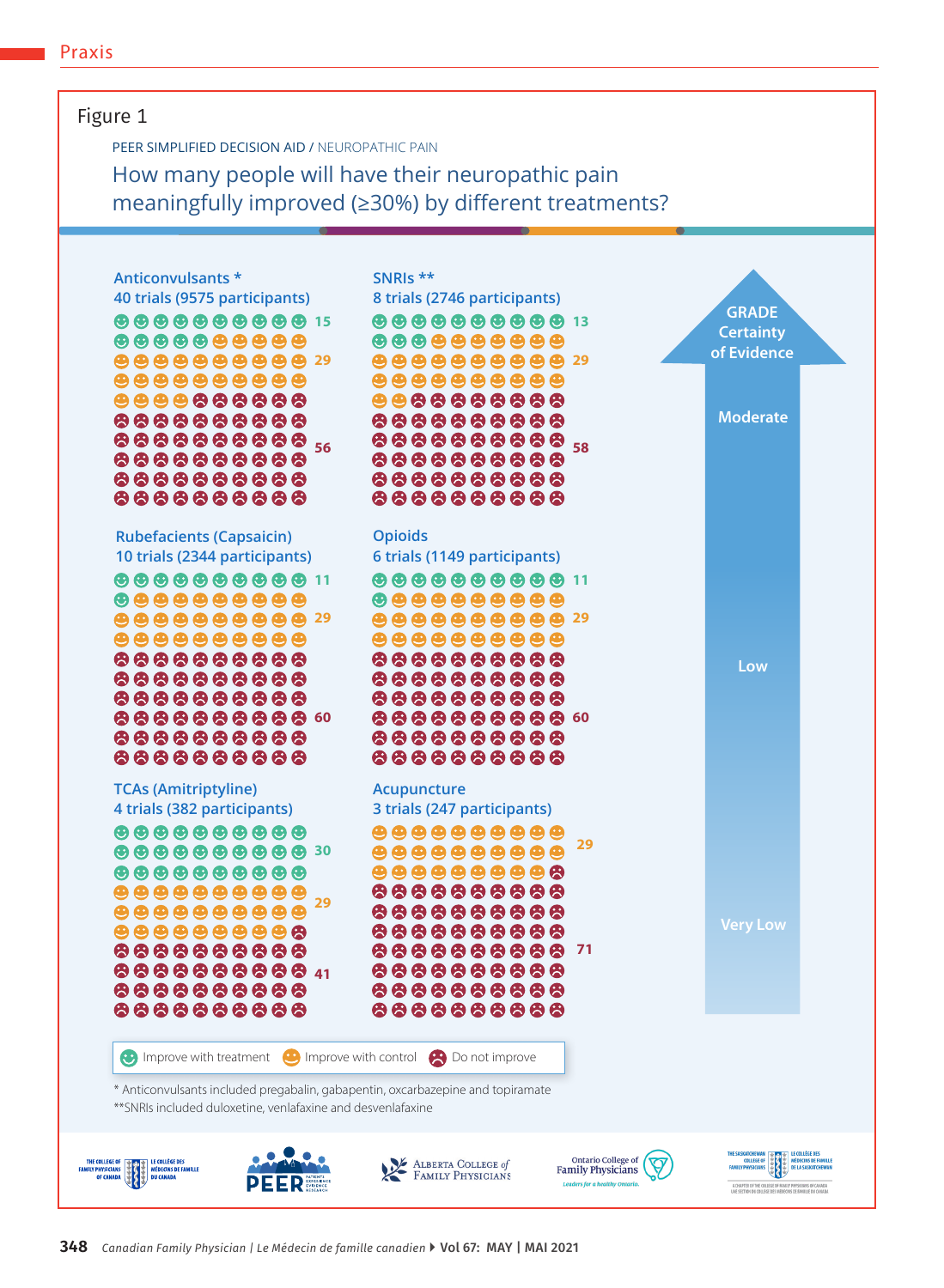### Figure 1

PEER SIMPLIFIED DECISION AID / NEUROPATHIC PAIN

How many people will have their neuropathic pain meaningfully improved (≥30%) by different treatments?